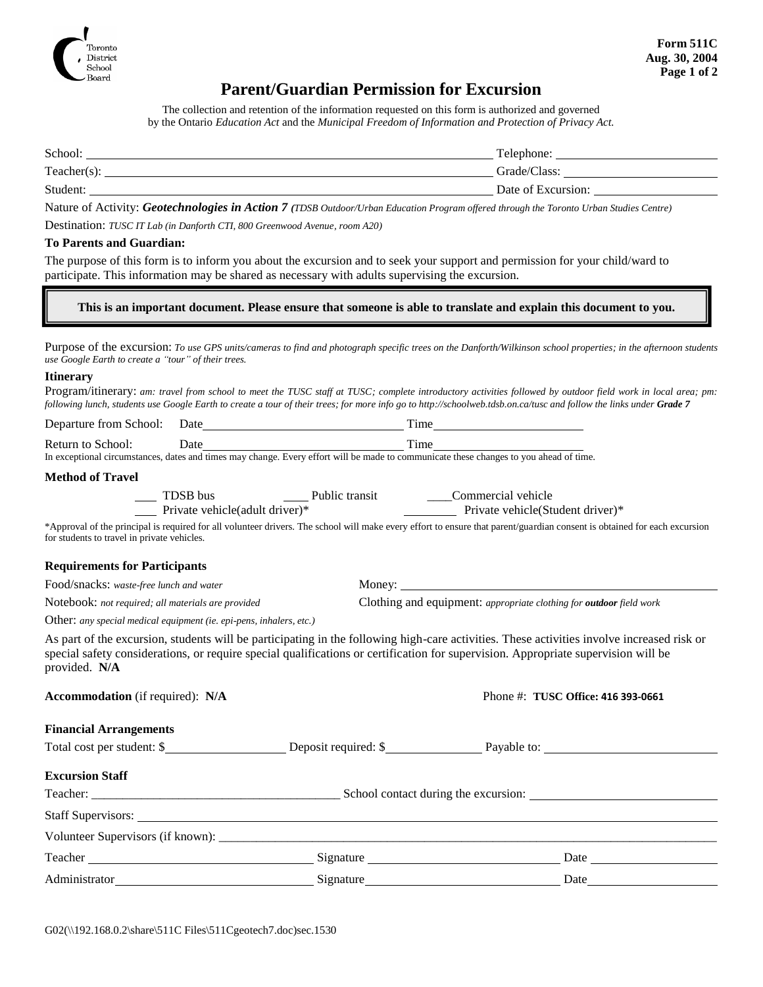

## **Parent/Guardian Permission for Excursion**

The collection and retention of the information requested on this form is authorized and governed by the Ontario *Education Act* and the *Municipal Freedom of Information and Protection of Privacy Act.*

| School:        | Telephone:         |
|----------------|--------------------|
| $Teacher(s)$ : | Grade/Class:       |
| Student:       | Date of Excursion: |

Nature of Activity: *Geotechnologies in Action 7 (TDSB Outdoor/Urban Education Program offered through the Toronto Urban Studies Centre)*

Destination: *TUSC IT Lab (in Danforth CTI, 800 Greenwood Avenue, room A20)*

#### **To Parents and Guardian:**

The purpose of this form is to inform you about the excursion and to seek your support and permission for your child/ward to participate. This information may be shared as necessary with adults supervising the excursion.

**This is an important document. Please ensure that someone is able to translate and explain this document to you.**

Purpose of the excursion: *To use GPS units/cameras to find and photograph specific trees on the Danforth/Wilkinson school properties; in the afternoon students use Google Earth to create a "tour" of their trees.*

#### **Itinerary**

Program/itinerary: *am: travel from school to meet the TUSC staff at TUSC; complete introductory activities followed by outdoor field work in local area; pm: following lunch, students use Google Earth to create a tour of their trees; for more info go to http://schoolweb.tdsb.on.ca/tusc and follow the links under Grade 7*

| Departure from School:  | Date | <sub>1</sub> me |
|-------------------------|------|-----------------|
| Return<br>School:<br>tΩ | Jate | . ime           |

In exceptional circumstances, dates and times may change. Every effort will be made to communicate these changes to you ahead of time.

#### **Method of Travel**

| TDSB bus                                                                                                                                                                  | Public transit | Commercial vehicle                |  |  |  |  |
|---------------------------------------------------------------------------------------------------------------------------------------------------------------------------|----------------|-----------------------------------|--|--|--|--|
| Private vehicle (adult driver)*                                                                                                                                           |                | Private vehicle (Student driver)* |  |  |  |  |
| *Approval of the principal is required for all volunteer drivers. The school will make every effort to ensure that parent/guardian consent is obtained for each excursion |                |                                   |  |  |  |  |
| for students to travel in private vehicles.                                                                                                                               |                |                                   |  |  |  |  |

#### **Requirements for Participants**

Food/snacks: *waste-free lunch and water* Money:

Notebook: *not required; all materials are provided* Clothing and equipment: *appropriate clothing for outdoor field work*

Other: *any special medical equipment (ie. epi-pens, inhalers, etc.)*

As part of the excursion, students will be participating in the following high-care activities. These activities involve increased risk or special safety considerations, or require special qualifications or certification for supervision. Appropriate supervision will be provided. **N/A**

| <b>Accommodation</b> (if required): N/A                                                                                                                                                                                              |  |  | Phone #: TUSC Office: 416 393-0661 |  |  |
|--------------------------------------------------------------------------------------------------------------------------------------------------------------------------------------------------------------------------------------|--|--|------------------------------------|--|--|
| <b>Financial Arrangements</b>                                                                                                                                                                                                        |  |  |                                    |  |  |
| Total cost per student: \$                                                                                                                                                                                                           |  |  |                                    |  |  |
| <b>Excursion Staff</b>                                                                                                                                                                                                               |  |  |                                    |  |  |
|                                                                                                                                                                                                                                      |  |  |                                    |  |  |
|                                                                                                                                                                                                                                      |  |  |                                    |  |  |
|                                                                                                                                                                                                                                      |  |  |                                    |  |  |
|                                                                                                                                                                                                                                      |  |  |                                    |  |  |
| Administrator <b>Mathematic Contract Contract Contract Contract Contract Contract Contract Contract Contract Contract Contract Contract Contract Contract Contract Contract Contract Contract Contract Contract Contract Contrac</b> |  |  |                                    |  |  |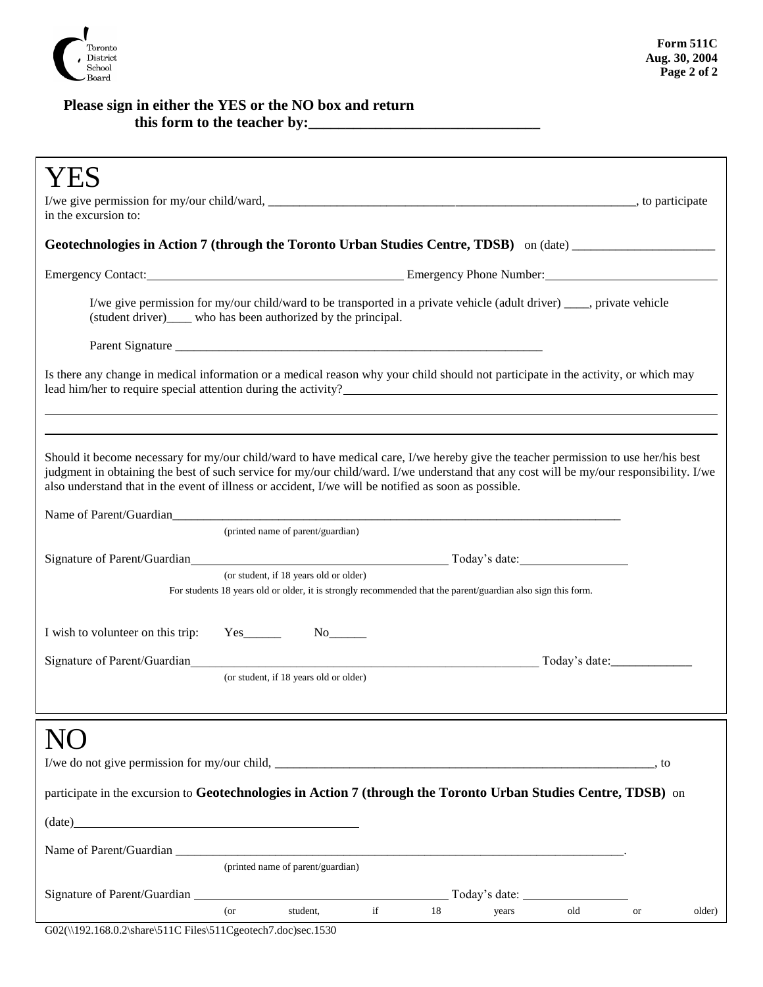

### **Please sign in either the YES or the NO box and return this form to the teacher by:\_\_\_\_\_\_\_\_\_\_\_\_\_\_\_\_\_\_\_\_\_\_\_\_\_\_\_\_\_\_\_**

| in the excursion to:                                                                                                                                                                                                                                                                                                                                                                  |                                                                                                                                                                                           |                                                                                                              |                     |    |       |                      |           |        |
|---------------------------------------------------------------------------------------------------------------------------------------------------------------------------------------------------------------------------------------------------------------------------------------------------------------------------------------------------------------------------------------|-------------------------------------------------------------------------------------------------------------------------------------------------------------------------------------------|--------------------------------------------------------------------------------------------------------------|---------------------|----|-------|----------------------|-----------|--------|
| Geotechnologies in Action 7 (through the Toronto Urban Studies Centre, TDSB) on (date) _______________________                                                                                                                                                                                                                                                                        |                                                                                                                                                                                           |                                                                                                              |                     |    |       |                      |           |        |
|                                                                                                                                                                                                                                                                                                                                                                                       |                                                                                                                                                                                           |                                                                                                              |                     |    |       |                      |           |        |
|                                                                                                                                                                                                                                                                                                                                                                                       | I/we give permission for my/our child/ward to be transported in a private vehicle (adult driver) ____, private vehicle<br>(student driver)_____ who has been authorized by the principal. |                                                                                                              |                     |    |       |                      |           |        |
|                                                                                                                                                                                                                                                                                                                                                                                       |                                                                                                                                                                                           |                                                                                                              |                     |    |       |                      |           |        |
| Is there any change in medical information or a medical reason why your child should not participate in the activity, or which may<br>lead him/her to require special attention during the activity?                                                                                                                                                                                  |                                                                                                                                                                                           |                                                                                                              |                     |    |       |                      |           |        |
|                                                                                                                                                                                                                                                                                                                                                                                       |                                                                                                                                                                                           |                                                                                                              |                     |    |       |                      |           |        |
| Should it become necessary for my/our child/ward to have medical care, I/we hereby give the teacher permission to use her/his best<br>judgment in obtaining the best of such service for my/our child/ward. I/we understand that any cost will be my/our responsibility. I/we<br>also understand that in the event of illness or accident, I/we will be notified as soon as possible. |                                                                                                                                                                                           |                                                                                                              |                     |    |       |                      |           |        |
|                                                                                                                                                                                                                                                                                                                                                                                       |                                                                                                                                                                                           |                                                                                                              |                     |    |       |                      |           |        |
|                                                                                                                                                                                                                                                                                                                                                                                       |                                                                                                                                                                                           | (printed name of parent/guardian)                                                                            |                     |    |       |                      |           |        |
|                                                                                                                                                                                                                                                                                                                                                                                       |                                                                                                                                                                                           | (or student, if 18 years old or older)                                                                       |                     |    |       |                      |           |        |
|                                                                                                                                                                                                                                                                                                                                                                                       |                                                                                                                                                                                           | For students 18 years old or older, it is strongly recommended that the parent/guardian also sign this form. |                     |    |       |                      |           |        |
| I wish to volunteer on this trip:                                                                                                                                                                                                                                                                                                                                                     |                                                                                                                                                                                           | $Yes$ No $No$                                                                                                |                     |    |       |                      |           |        |
| Signature of Parent/Guardian                                                                                                                                                                                                                                                                                                                                                          |                                                                                                                                                                                           |                                                                                                              |                     |    |       |                      |           |        |
|                                                                                                                                                                                                                                                                                                                                                                                       | (or student, if 18 years old or older)                                                                                                                                                    |                                                                                                              |                     |    |       |                      |           |        |
|                                                                                                                                                                                                                                                                                                                                                                                       |                                                                                                                                                                                           |                                                                                                              |                     |    |       |                      |           |        |
|                                                                                                                                                                                                                                                                                                                                                                                       |                                                                                                                                                                                           |                                                                                                              |                     |    |       |                      |           |        |
|                                                                                                                                                                                                                                                                                                                                                                                       |                                                                                                                                                                                           |                                                                                                              |                     |    |       |                      | , to      |        |
| participate in the excursion to Geotechnologies in Action 7 (through the Toronto Urban Studies Centre, TDSB) on                                                                                                                                                                                                                                                                       |                                                                                                                                                                                           |                                                                                                              |                     |    |       |                      |           |        |
|                                                                                                                                                                                                                                                                                                                                                                                       |                                                                                                                                                                                           |                                                                                                              |                     |    |       |                      |           |        |
| $(\text{date})$                                                                                                                                                                                                                                                                                                                                                                       |                                                                                                                                                                                           |                                                                                                              |                     |    |       |                      |           |        |
|                                                                                                                                                                                                                                                                                                                                                                                       |                                                                                                                                                                                           |                                                                                                              |                     |    |       |                      |           |        |
|                                                                                                                                                                                                                                                                                                                                                                                       |                                                                                                                                                                                           | (printed name of parent/guardian)                                                                            |                     |    |       |                      |           |        |
|                                                                                                                                                                                                                                                                                                                                                                                       | $($ or                                                                                                                                                                                    | student,                                                                                                     | $\operatorname{if}$ | 18 | years | Today's date:<br>old | <b>or</b> | older) |
| G02(\\192.168.0.2\share\511C Files\511Cgeotech7.doc)sec.1530                                                                                                                                                                                                                                                                                                                          |                                                                                                                                                                                           |                                                                                                              |                     |    |       |                      |           |        |